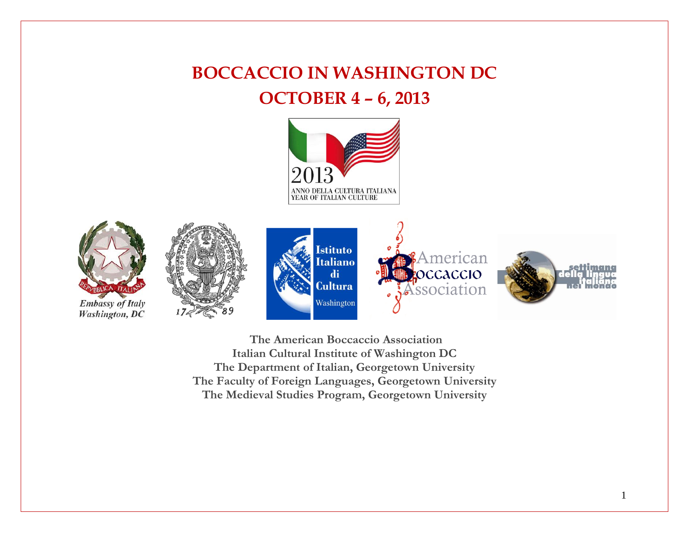# **BOCCACCIO IN WASHINGTON DC OCTOBER 4 – 6, 2013**





**Washington**, DC





**The American Boccaccio Association Italian Cultural Institute of Washington DC The Department of Italian, Georgetown University The Faculty of Foreign Languages, Georgetown University The Medieval Studies Program, Georgetown University**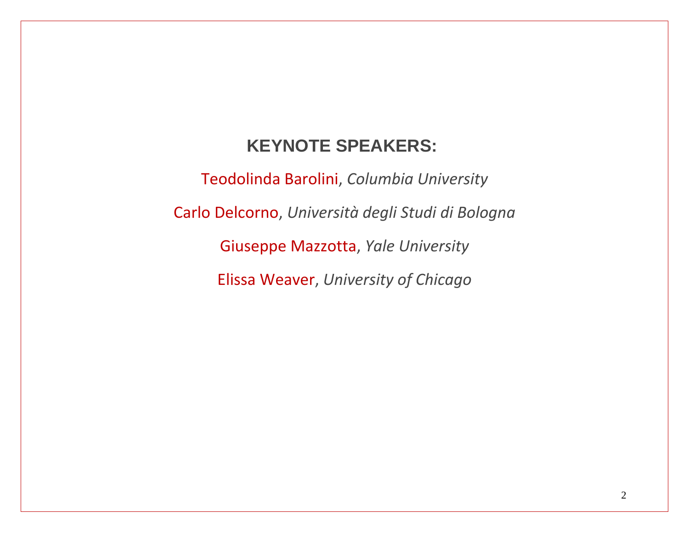# **KEYNOTE SPEAKERS:**

Teodolinda Barolini, *Columbia University*

Carlo Delcorno, *Università degli Studi di Bologna*

Giuseppe Mazzotta, *Yale University*

Elissa Weaver, *University of Chicago*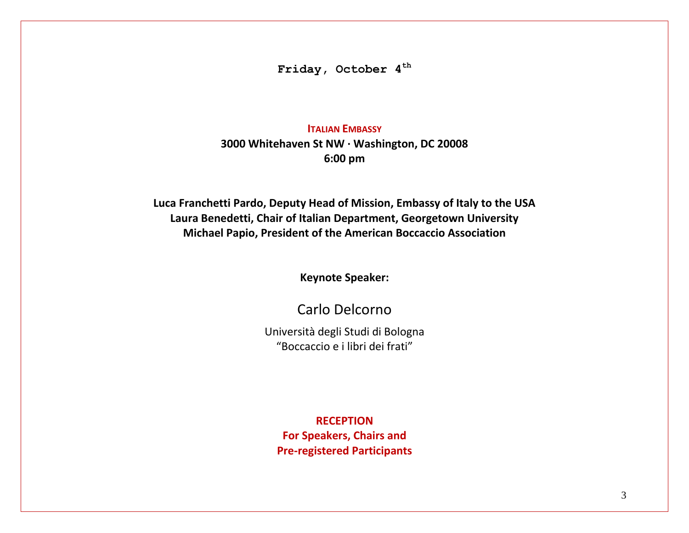**Friday, October 4 th**

#### **ITALIAN EMBASSY**

**3000 Whitehaven St NW · Washington, DC 20008 6:00 pm**

**Luca Franchetti Pardo, Deputy Head of Mission, Embassy of Italy to the USA Laura Benedetti, Chair of Italian Department, Georgetown University Michael Papio, President of the American Boccaccio Association** 

**Keynote Speaker:**

Carlo Delcorno

Università degli Studi di Bologna "Boccaccio e i libri dei frati"

**RECEPTION For Speakers, Chairs and Pre-registered Participants**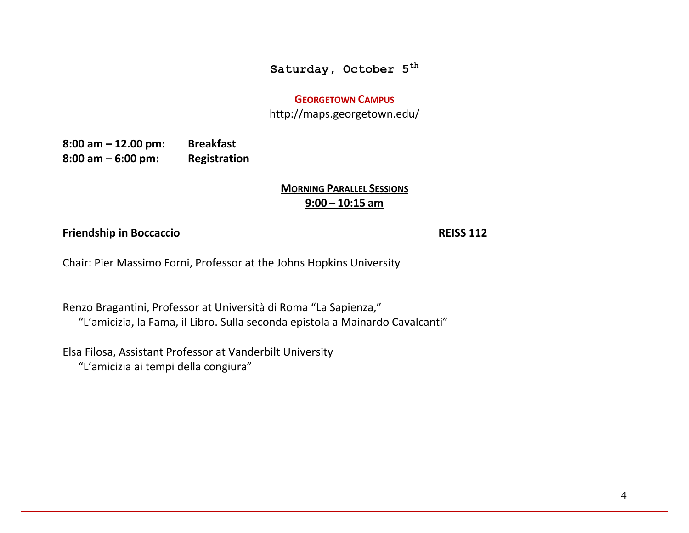# **Saturday, October 5 th**

#### **GEORGETOWN CAMPUS**

http://maps.georgetown.edu/

**8:00 am – 12.00 pm: Breakfast 8:00 am – 6:00 pm: Registration**

# **MORNING PARALLEL SESSIONS 9:00 – 10:15 am**

#### **Friendship in Boccaccio REISS 112**

Chair: Pier Massimo Forni, Professor at the Johns Hopkins University

Renzo Bragantini, Professor at Università di Roma "La Sapienza," "L'amicizia, la Fama, il Libro. Sulla seconda epistola a Mainardo Cavalcanti"

Elsa Filosa, Assistant Professor at Vanderbilt University "L'amicizia ai tempi della congiura"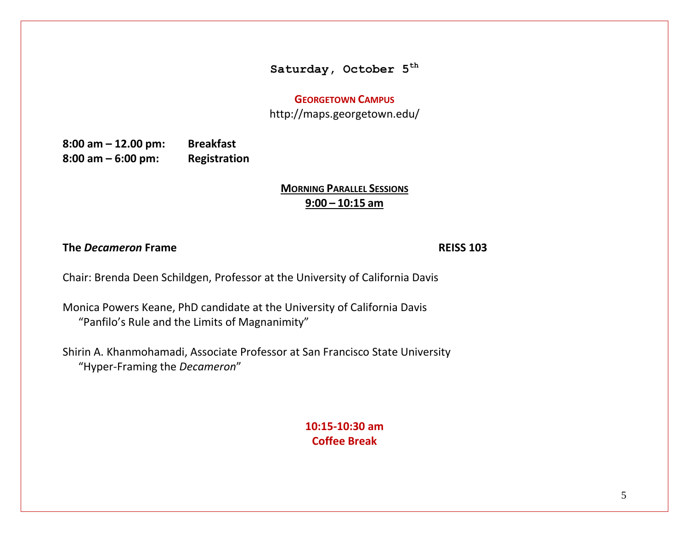#### **Saturday, October 5th**

#### **GEORGETOWN CAMPUS**

http://maps.georgetown.edu/

**8:00 am – 12.00 pm: Breakfast 8:00 am – 6:00 pm: Registration**

# **MORNING PARALLEL SESSIONS 9:00 – 10:15 am**

**The** *Decameron* **Frame REISS 103**

Chair: Brenda Deen Schildgen, Professor at the University of California Davis

Monica Powers Keane, PhD candidate at the University of California Davis "Panfilo's Rule and the Limits of Magnanimity"

Shirin A. Khanmohamadi, Associate Professor at San Francisco State University "Hyper-Framing the *Decameron*"

> **10:15-10:30 am Coffee Break**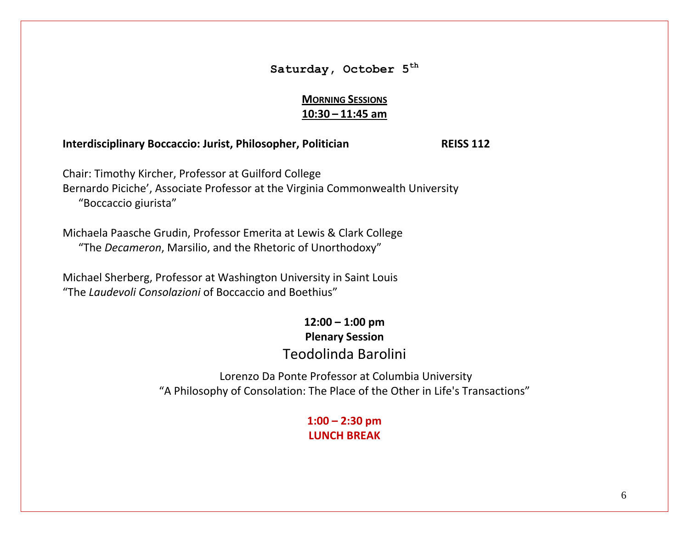# **Saturday, October 5 th**

# **MORNING SESSIONS 10:30 – 11:45 am**

#### **Interdisciplinary Boccaccio: Jurist, Philosopher, Politician REISS 112**

Chair: Timothy Kircher, Professor at Guilford College Bernardo Piciche', Associate Professor at the Virginia Commonwealth University "Boccaccio giurista"

Michaela Paasche Grudin, Professor Emerita at Lewis & Clark College "The *Decameron*, Marsilio, and the Rhetoric of Unorthodoxy"

Michael Sherberg, Professor at Washington University in Saint Louis "The *Laudevoli Consolazioni* of Boccaccio and Boethius"

# **12:00 – 1:00 pm Plenary Session** Teodolinda Barolini

Lorenzo Da Ponte Professor at Columbia University "A Philosophy of Consolation: The Place of the Other in Life's Transactions"

# **1:00 – 2:30 pm LUNCH BREAK**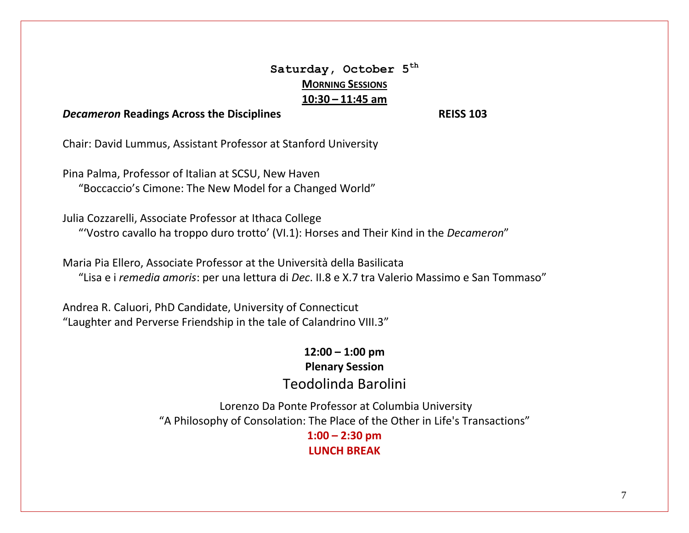# **Saturday, October 5th MORNING SESSIONS 10:30 – 11:45 am**

#### *Decameron* **Readings Across the Disciplines REISS 103**

Chair: David Lummus, Assistant Professor at Stanford University

Pina Palma, Professor of Italian at SCSU, New Haven "Boccaccio's Cimone: The New Model for a Changed World"

Julia Cozzarelli, Associate Professor at Ithaca College "'Vostro cavallo ha troppo duro trotto' (VI.1): Horses and Their Kind in the *Decameron*"

Maria Pia Ellero, Associate Professor at the Università della Basilicata "Lisa e i *remedia amoris*: per una lettura di *Dec*. II.8 e X.7 tra Valerio Massimo e San Tommaso"

Andrea R. Caluori, PhD Candidate, University of Connecticut "Laughter and Perverse Friendship in the tale of Calandrino VIII.3"

> **12:00 – 1:00 pm Plenary Session** Teodolinda Barolini

Lorenzo Da Ponte Professor at Columbia University "A Philosophy of Consolation: The Place of the Other in Life's Transactions"

**1:00 – 2:30 pm LUNCH BREAK**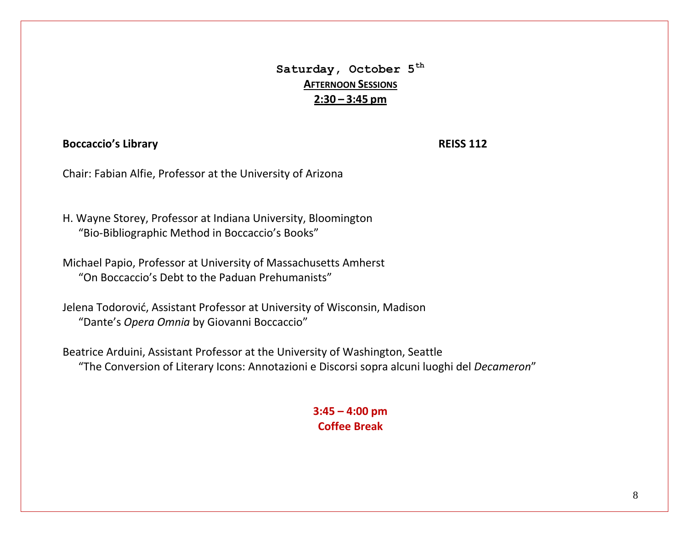**Saturday, October 5 th AFTERNOON SESSIONS 2:30 – 3:45 pm**

#### **Boccaccio's Library REISS 112**

Chair: Fabian Alfie, Professor at the University of Arizona

H. Wayne Storey, Professor at Indiana University, Bloomington "Bio-Bibliographic Method in Boccaccio's Books"

Michael Papio, Professor at University of Massachusetts Amherst "On Boccaccio's Debt to the Paduan Prehumanists"

Jelena Todorović, Assistant Professor at University of Wisconsin, Madison "Dante's *Opera Omnia* by Giovanni Boccaccio"

Beatrice Arduini, Assistant Professor at the University of Washington, Seattle "The Conversion of Literary Icons: Annotazioni e Discorsi sopra alcuni luoghi del *Decameron*"

### **3:45 – 4:00 pm Coffee Break**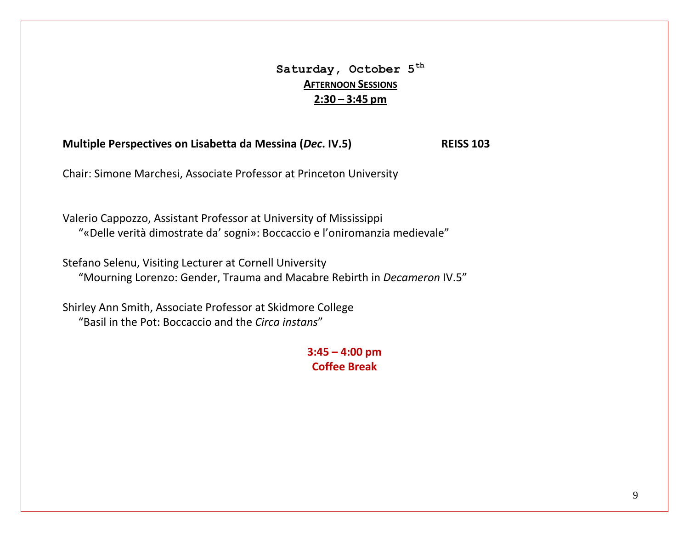# **Saturday, October 5th AFTERNOON SESSIONS 2:30 – 3:45 pm**

**Multiple Perspectives on Lisabetta da Messina (***Dec***. IV.5) REISS 103**

Chair: Simone Marchesi, Associate Professor at Princeton University

Valerio Cappozzo, Assistant Professor at University of Mississippi "«Delle verità dimostrate da' sogni»: Boccaccio e l'oniromanzia medievale"

Stefano Selenu, Visiting Lecturer at Cornell University "Mourning Lorenzo: Gender, Trauma and Macabre Rebirth in *Decameron* IV.5"

Shirley Ann Smith, Associate Professor at Skidmore College "Basil in the Pot: Boccaccio and the *Circa instans*"

> **3:45 – 4:00 pm Coffee Break**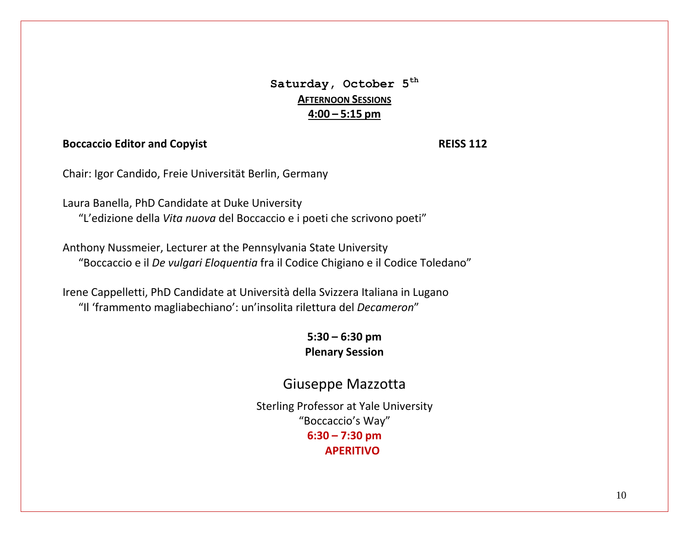**Saturday, October 5 th AFTERNOON SESSIONS 4:00 – 5:15 pm**

#### **Boccaccio Editor and Copyist REISS 112**

Chair: Igor Candido, Freie Universität Berlin, Germany

Laura Banella, PhD Candidate at Duke University "L'edizione della *Vita nuova* del Boccaccio e i poeti che scrivono poeti"

Anthony Nussmeier, Lecturer at the Pennsylvania State University "Boccaccio e il *De vulgari Eloquentia* fra il Codice Chigiano e il Codice Toledano"

Irene Cappelletti, PhD Candidate at Università della Svizzera Italiana in Lugano "Il 'frammento magliabechiano': un'insolita rilettura del *Decameron*"

> **5:30 – 6:30 pm Plenary Session**

# Giuseppe Mazzotta

Sterling Professor at Yale University "Boccaccio's Way" **6:30 – 7:30 pm APERITIVO**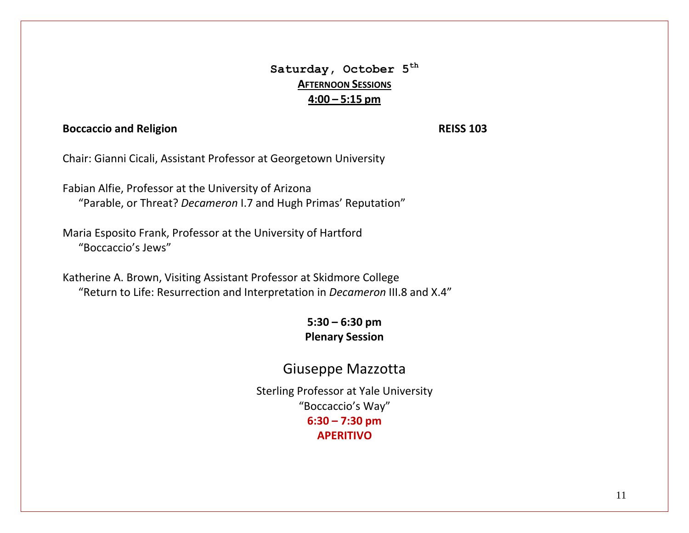# **Saturday, October 5th AFTERNOON SESSIONS 4:00 – 5:15 pm**

#### **Boccaccio and Religion** *REISS 103*

Chair: Gianni Cicali, Assistant Professor at Georgetown University

Fabian Alfie, Professor at the University of Arizona "Parable, or Threat? *Decameron* I.7 and Hugh Primas' Reputation"

Maria Esposito Frank, Professor at the University of Hartford "Boccaccio's Jews"

Katherine A. Brown, Visiting Assistant Professor at Skidmore College "Return to Life: Resurrection and Interpretation in *Decameron* III.8 and X.4"

# **5:30 – 6:30 pm Plenary Session**

# Giuseppe Mazzotta

Sterling Professor at Yale University "Boccaccio's Way" **6:30 – 7:30 pm APERITIVO**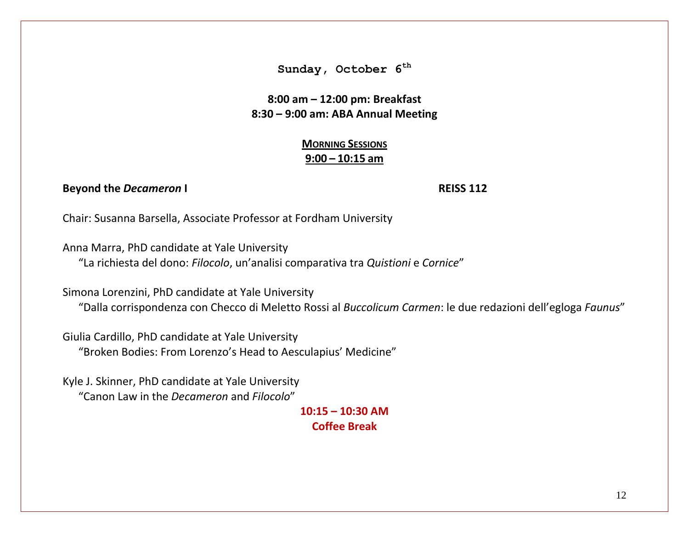**8:00 am – 12:00 pm: Breakfast 8:30 – 9:00 am: ABA Annual Meeting**

> **MORNING SESSIONS 9:00 – 10:15 am**

#### **Beyond the** *Decameron* **I REISS 112**

Chair: Susanna Barsella, Associate Professor at Fordham University

Anna Marra, PhD candidate at Yale University "La richiesta del dono: *Filocolo*, un'analisi comparativa tra *Quistioni* e *Cornice*"

Simona Lorenzini, PhD candidate at Yale University

"Dalla corrispondenza con Checco di Meletto Rossi al *Buccolicum Carmen*: le due redazioni dell'egloga *Faunus*"

Giulia Cardillo, PhD candidate at Yale University "Broken Bodies: From Lorenzo's Head to Aesculapius' Medicine"

Kyle J. Skinner, PhD candidate at Yale University "Canon Law in the *Decameron* and *Filocolo*"

#### **10:15 – 10:30 AM Coffee Break**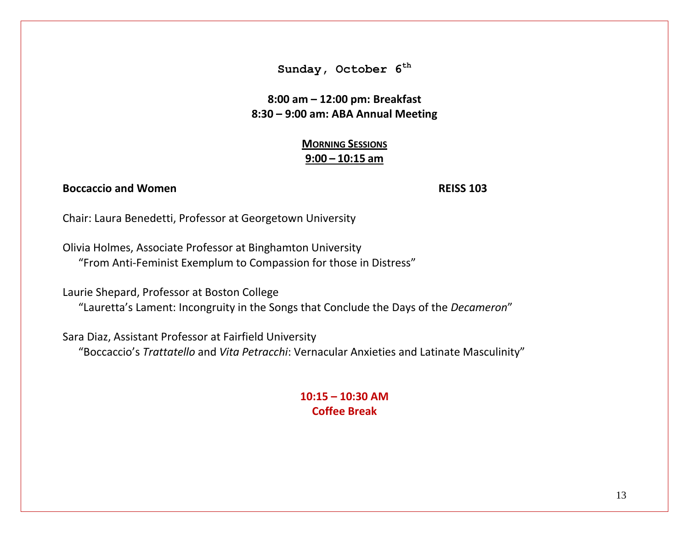**8:00 am – 12:00 pm: Breakfast 8:30 – 9:00 am: ABA Annual Meeting** 

> **MORNING SESSIONS 9:00 – 10:15 am**

#### **Boccaccio and Women REISS 103**

Chair: Laura Benedetti, Professor at Georgetown University

Olivia Holmes, Associate Professor at Binghamton University "From Anti-Feminist Exemplum to Compassion for those in Distress"

Laurie Shepard, Professor at Boston College

"Lauretta's Lament: Incongruity in the Songs that Conclude the Days of the *Decameron*"

Sara Diaz, Assistant Professor at Fairfield University "Boccaccio's *Trattatello* and *Vita Petracchi*: Vernacular Anxieties and Latinate Masculinity"

#### **10:15 – 10:30 AM Coffee Break**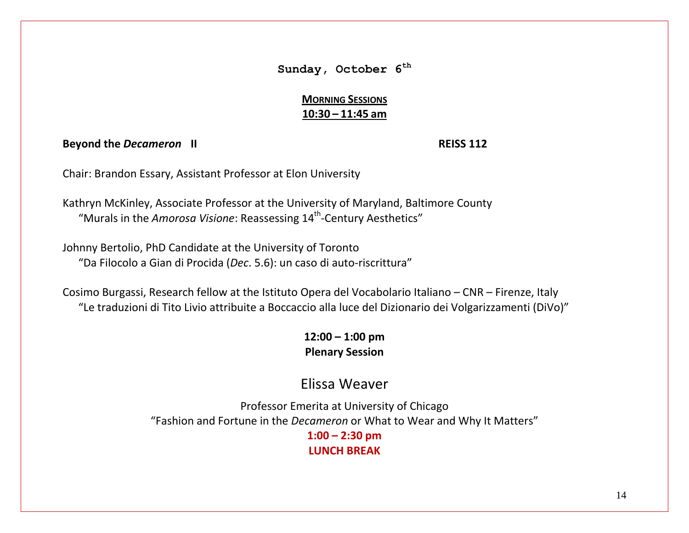# **MORNING SESSIONS 10:30 – 11:45 am**

**Beyond the** *Decameron* **II REISS 112**

Chair: Brandon Essary, Assistant Professor at Elon University

Kathryn McKinley, Associate Professor at the University of Maryland, Baltimore County "Murals in the Amorosa Visione: Reassessing 14<sup>th</sup>-Century Aesthetics"

Johnny Bertolio, PhD Candidate at the University of Toronto "Da Filocolo a Gian di Procida (*Dec*. 5.6): un caso di auto-riscrittura"

Cosimo Burgassi, Research fellow at the Istituto Opera del Vocabolario Italiano – CNR – Firenze, Italy "Le traduzioni di Tito Livio attribuite a Boccaccio alla luce del Dizionario dei Volgarizzamenti (DiVo)"

> **12:00 – 1:00 pm Plenary Session**

# Elissa Weaver

Professor Emerita at University of Chicago "Fashion and Fortune in the *Decameron* or What to Wear and Why It Matters" **1:00 – 2:30 pm**

**LUNCH BREAK**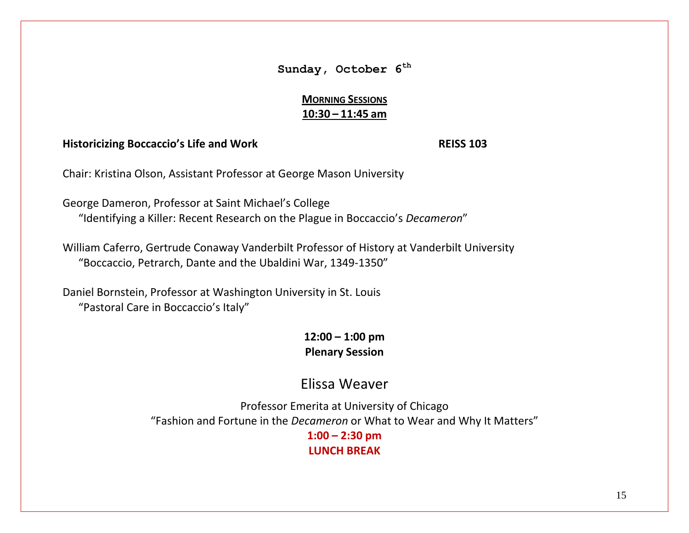# **MORNING SESSIONS 10:30 – 11:45 am**

#### **Historicizing Boccaccio's Life and Work REISS 103**

Chair: Kristina Olson, Assistant Professor at George Mason University

George Dameron, Professor at Saint Michael's College "Identifying a Killer: Recent Research on the Plague in Boccaccio's *Decameron*"

William Caferro, Gertrude Conaway Vanderbilt Professor of History at Vanderbilt University "Boccaccio, Petrarch, Dante and the Ubaldini War, 1349-1350"

Daniel Bornstein, Professor at Washington University in St. Louis "Pastoral Care in Boccaccio's Italy"

> **12:00 – 1:00 pm Plenary Session**

# Elissa Weaver

Professor Emerita at University of Chicago "Fashion and Fortune in the *Decameron* or What to Wear and Why It Matters" **1:00 – 2:30 pm LUNCH BREAK**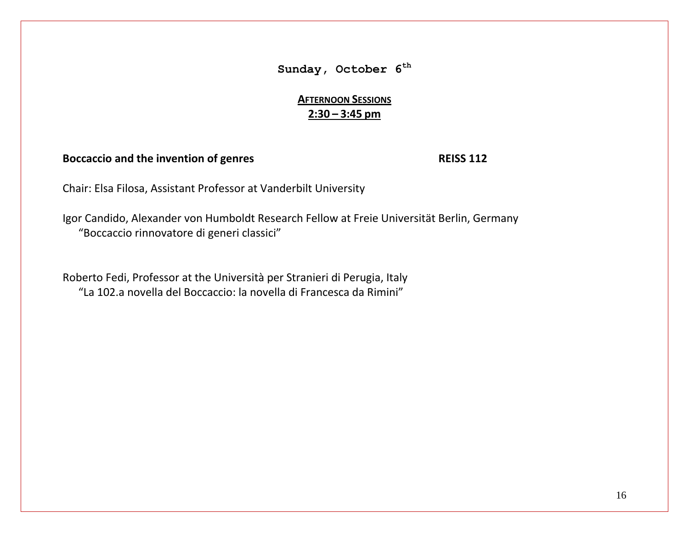**AFTERNOON SESSIONS 2:30 – 3:45 pm**

#### **Boccaccio and the invention of genres REISS 112**

Chair: Elsa Filosa, Assistant Professor at Vanderbilt University

Igor Candido, Alexander von Humboldt Research Fellow at Freie Universität Berlin, Germany "Boccaccio rinnovatore di generi classici"

Roberto Fedi, Professor at the Università per Stranieri di Perugia, Italy "La 102.a novella del Boccaccio: la novella di Francesca da Rimini"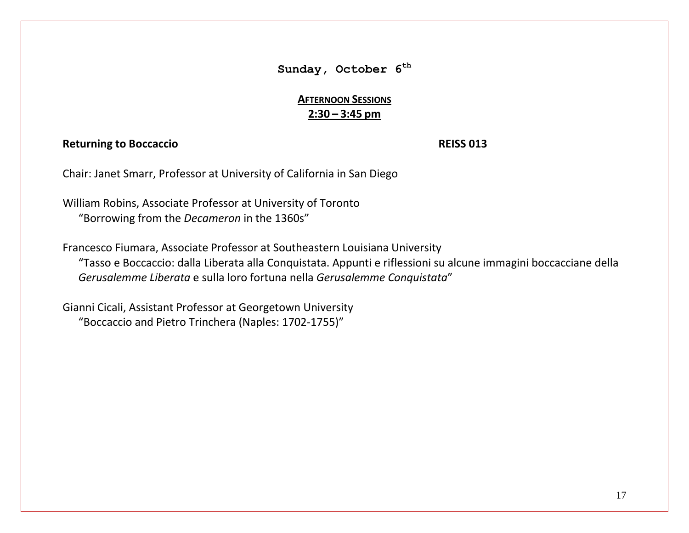# **AFTERNOON SESSIONS 2:30 – 3:45 pm**

#### **Returning to Boccaccio REISS 013**

Chair: Janet Smarr, Professor at University of California in San Diego

William Robins, Associate Professor at University of Toronto "Borrowing from the *Decameron* in the 1360s"

Francesco Fiumara, Associate Professor at Southeastern Louisiana University "Tasso e Boccaccio: dalla Liberata alla Conquistata. Appunti e riflessioni su alcune immagini boccacciane della *Gerusalemme Liberata* e sulla loro fortuna nella *Gerusalemme Conquistata*"

Gianni Cicali, Assistant Professor at Georgetown University "Boccaccio and Pietro Trinchera (Naples: 1702-1755)"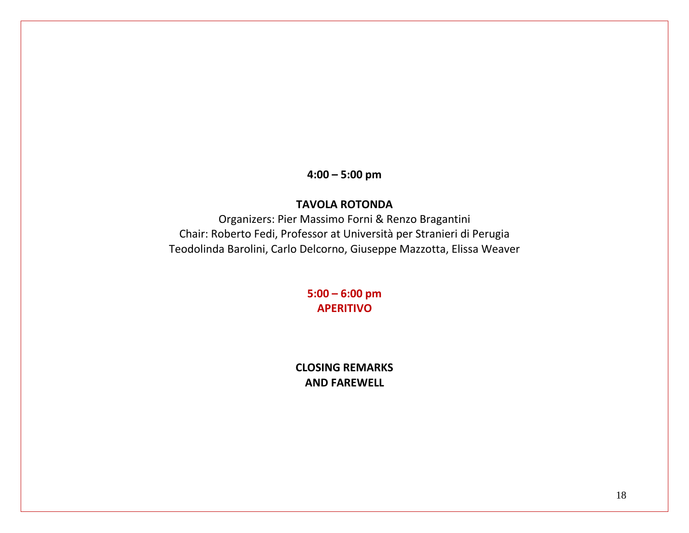**4:00 – 5:00 pm**

### **TAVOLA ROTONDA**

Organizers: Pier Massimo Forni & Renzo Bragantini Chair: Roberto Fedi, Professor at Università per Stranieri di Perugia Teodolinda Barolini, Carlo Delcorno, Giuseppe Mazzotta, Elissa Weaver

> **5:00 – 6:00 pm APERITIVO**

**CLOSING REMARKS AND FAREWELL**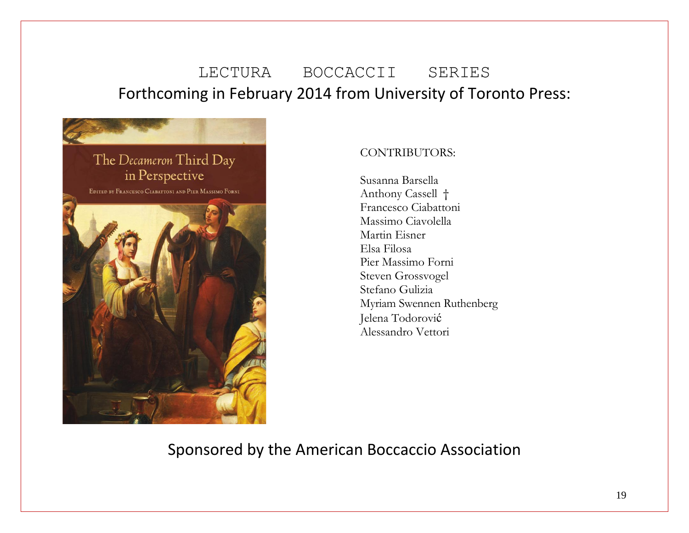# LECTURA BOCCACCII SERIES Forthcoming in February 2014 from University of Toronto Press:



#### CONTRIBUTORS:

Susanna Barsella Anthony Cassell † Francesco Ciabattoni Massimo Ciavolella Martin Eisner Elsa Filosa Pier Massimo Forni Steven Grossvogel Stefano Gulizia Myriam Swennen Ruthenberg Jelena Todorović Alessandro Vettori

Sponsored by the American Boccaccio Association